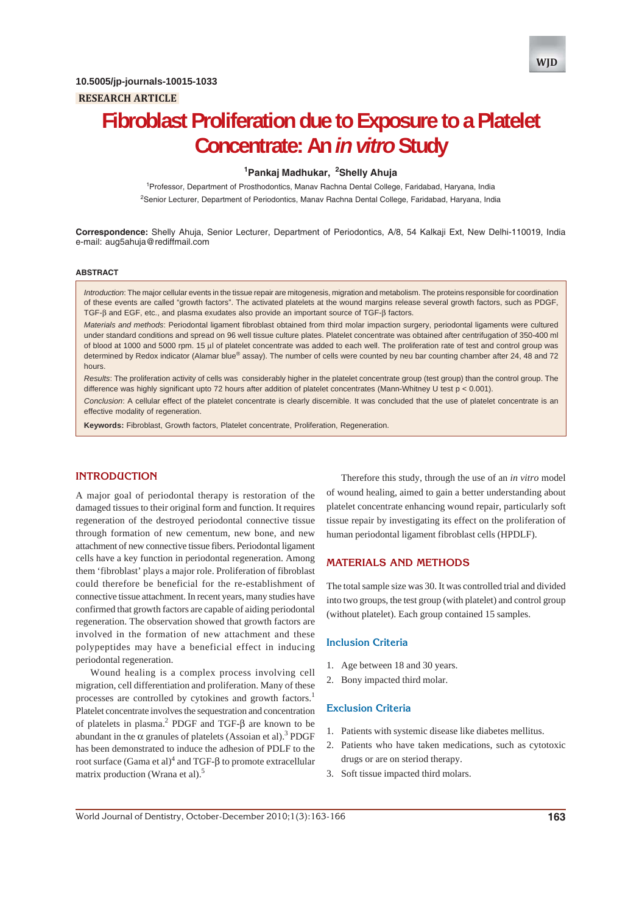

# **Fibroblast Proliferation due to Exposure to a Platelet Concentrate: An** *in vitro* **Study**

## **1 Pankaj Madhukar, <sup>2</sup> Shelly Ahuja**

1 Professor, Department of Prosthodontics, Manav Rachna Dental College, Faridabad, Haryana, India <sup>2</sup>Senior Lecturer, Department of Periodontics, Manav Rachna Dental College, Faridabad, Haryana, India

**Correspondence:** Shelly Ahuja, Senior Lecturer, Department of Periodontics, A/8, 54 Kalkaji Ext, New Delhi-110019, India e-mail: aug5ahuja@rediffmail.com

#### **ABSTRACT**

*Introduction*: The major cellular events in the tissue repair are mitogenesis, migration and metabolism. The proteins responsible for coordination of these events are called "growth factors". The activated platelets at the wound margins release several growth factors, such as PDGF, TGF-β and EGF, etc., and plasma exudates also provide an important source of TGF-β factors.

*Materials and methods*: Periodontal ligament fibroblast obtained from third molar impaction surgery, periodontal ligaments were cultured under standard conditions and spread on 96 well tissue culture plates. Platelet concentrate was obtained after centrifugation of 350-400 ml of blood at 1000 and 5000 rpm. 15 μl of platelet concentrate was added to each well. The proliferation rate of test and control group was determined by Redox indicator (Alamar blue® assay). The number of cells were counted by neu bar counting chamber after 24, 48 and 72 hours.

*Results*: The proliferation activity of cells was considerably higher in the platelet concentrate group (test group) than the control group. The difference was highly significant upto 72 hours after addition of platelet concentrates (Mann-Whitney U test p < 0.001).

*Conclusion*: A cellular effect of the platelet concentrate is clearly discernible. It was concluded that the use of platelet concentrate is an effective modality of regeneration.

**Keywords:** Fibroblast, Growth factors, Platelet concentrate, Proliferation, Regeneration.

## **INTRODUCTION**

A major goal of periodontal therapy is restoration of the damaged tissues to their original form and function. It requires regeneration of the destroyed periodontal connective tissue through formation of new cementum, new bone, and new attachment of new connective tissue fibers. Periodontal ligament cells have a key function in periodontal regeneration. Among them 'fibroblast' plays a major role. Proliferation of fibroblast could therefore be beneficial for the re-establishment of connective tissue attachment. In recent years, many studies have confirmed that growth factors are capable of aiding periodontal regeneration. The observation showed that growth factors are involved in the formation of new attachment and these polypeptides may have a beneficial effect in inducing periodontal regeneration.

Wound healing is a complex process involving cell migration, cell differentiation and proliferation. Many of these processes are controlled by cytokines and growth factors.<sup>1</sup> Platelet concentrate involves the sequestration and concentration of platelets in plasma.<sup>2</sup> PDGF and TGF- $\beta$  are known to be abundant in the  $\alpha$  granules of platelets (Assoian et al).<sup>3</sup> PDGF has been demonstrated to induce the adhesion of PDLF to the root surface (Gama et al) $^4$  and TGF-β to promote extracellular matrix production (Wrana et al).<sup>5</sup>

Therefore this study, through the use of an *in vitro* model of wound healing, aimed to gain a better understanding about platelet concentrate enhancing wound repair, particularly soft tissue repair by investigating its effect on the proliferation of human periodontal ligament fibroblast cells (HPDLF).

## **MATERIALS AND METHODS**

The total sample size was 30. It was controlled trial and divided into two groups, the test group (with platelet) and control group (without platelet). Each group contained 15 samples.

## **Inclusion Criteria**

- 1. Age between 18 and 30 years.
- 2. Bony impacted third molar.

## **Exclusion Criteria**

- 1. Patients with systemic disease like diabetes mellitus.
- 2. Patients who have taken medications, such as cytotoxic drugs or are on steriod therapy.
- 3. Soft tissue impacted third molars.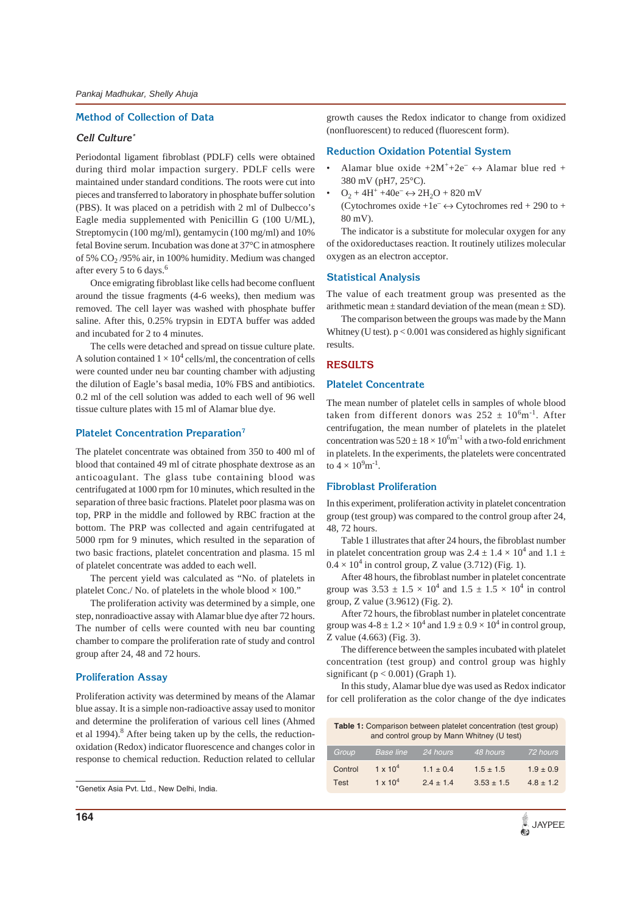## **Method of Collection of Data**

## **Cell Culture\***

Periodontal ligament fibroblast (PDLF) cells were obtained during third molar impaction surgery. PDLF cells were maintained under standard conditions. The roots were cut into pieces and transferred to laboratory in phosphate buffer solution (PBS). It was placed on a petridish with 2 ml of Dulbecco's Eagle media supplemented with Penicillin G (100 U/ML), Streptomycin (100 mg/ml), gentamycin (100 mg/ml) and 10% fetal Bovine serum. Incubation was done at 37°C in atmosphere of 5% CO<sub>2</sub>/95% air, in 100% humidity. Medium was changed after every 5 to 6 days.<sup>6</sup>

Once emigrating fibroblast like cells had become confluent around the tissue fragments (4-6 weeks), then medium was removed. The cell layer was washed with phosphate buffer saline. After this, 0.25% trypsin in EDTA buffer was added and incubated for 2 to 4 minutes.

The cells were detached and spread on tissue culture plate. A solution contained  $1 \times 10^4$  cells/ml, the concentration of cells were counted under neu bar counting chamber with adjusting the dilution of Eagle's basal media, 10% FBS and antibiotics. 0.2 ml of the cell solution was added to each well of 96 well tissue culture plates with 15 ml of Alamar blue dye.

#### **Platelet Concentration Preparation7**

The platelet concentrate was obtained from 350 to 400 ml of blood that contained 49 ml of citrate phosphate dextrose as an anticoagulant. The glass tube containing blood was centrifugated at 1000 rpm for 10 minutes, which resulted in the separation of three basic fractions. Platelet poor plasma was on top, PRP in the middle and followed by RBC fraction at the bottom. The PRP was collected and again centrifugated at 5000 rpm for 9 minutes, which resulted in the separation of two basic fractions, platelet concentration and plasma. 15 ml of platelet concentrate was added to each well.

The percent yield was calculated as "No. of platelets in platelet Conc./ No. of platelets in the whole blood  $\times$  100."

The proliferation activity was determined by a simple, one step, nonradioactive assay with Alamar blue dye after 72 hours. The number of cells were counted with neu bar counting chamber to compare the proliferation rate of study and control group after 24, 48 and 72 hours.

## **Proliferation Assay**

Proliferation activity was determined by means of the Alamar blue assay. It is a simple non-radioactive assay used to monitor and determine the proliferation of various cell lines (Ahmed et al 1994).<sup>8</sup> After being taken up by the cells, the reductionoxidation (Redox) indicator fluorescence and changes color in response to chemical reduction. Reduction related to cellular growth causes the Redox indicator to change from oxidized (nonfluorescent) to reduced (fluorescent form).

#### **Reduction Oxidation Potential System**

- Alamar blue oxide  $+2M^{+}+2e^{-} \leftrightarrow$  Alamar blue red + 380 mV (pH7, 25°C).
- $O_2 + 4H^+ + 40e^- \leftrightarrow 2H_2O + 820$  mV
	- (Cytochromes oxide +1e<sup>-</sup> $\leftrightarrow$  Cytochromes red + 290 to + 80 mV).

The indicator is a substitute for molecular oxygen for any of the oxidoreductases reaction. It routinely utilizes molecular oxygen as an electron acceptor.

## **Statistical Analysis**

The value of each treatment group was presented as the arithmetic mean  $\pm$  standard deviation of the mean (mean  $\pm$  SD).

The comparison between the groups was made by the Mann Whitney (U test).  $p < 0.001$  was considered as highly significant results.

## **RESULTS**

## **Platelet Concentrate**

The mean number of platelet cells in samples of whole blood taken from different donors was  $252 \pm 10^{6}$ m<sup>-1</sup>. After centrifugation, the mean number of platelets in the platelet concentration was  $520 \pm 18 \times 10^6$  m<sup>-1</sup> with a two-fold enrichment in platelets. In the experiments, the platelets were concentrated to  $4 \times 10^9 \text{m}^{-1}$ .

## **Fibroblast Proliferation**

In this experiment, proliferation activity in platelet concentration group (test group) was compared to the control group after 24, 48, 72 hours.

Table 1 illustrates that after 24 hours, the fibroblast number in platelet concentration group was  $2.4 \pm 1.4 \times 10^4$  and  $1.1 \pm$  $0.4 \times 10^4$  in control group, Z value (3.712) (Fig. 1).

After 48 hours, the fibroblast number in platelet concentrate group was  $3.53 \pm 1.5 \times 10^4$  and  $1.5 \pm 1.5 \times 10^4$  in control group, Z value (3.9612) (Fig. 2).

After 72 hours, the fibroblast number in platelet concentrate group was  $4-8 \pm 1.2 \times 10^4$  and  $1.9 \pm 0.9 \times 10^4$  in control group, Z value (4.663) (Fig. 3).

The difference between the samples incubated with platelet concentration (test group) and control group was highly significant ( $p < 0.001$ ) (Graph 1).

In this study, Alamar blue dye was used as Redox indicator for cell proliferation as the color change of the dye indicates

| <b>Table 1:</b> Comparison between platelet concentration (test group)<br>and control group by Mann Whitney (U test) |                   |               |                |               |
|----------------------------------------------------------------------------------------------------------------------|-------------------|---------------|----------------|---------------|
| Group <sup>1</sup>                                                                                                   | <b>Base line</b>  | 24 hours      | 48 hours       | 72 hours      |
| Control                                                                                                              | $1 \times 10^{4}$ | $1.1 \pm 0.4$ | $1.5 \pm 1.5$  | $1.9 \pm 0.9$ |
| Test                                                                                                                 | $1 \times 10^{4}$ | $2.4 \pm 1.4$ | $3.53 \pm 1.5$ | $4.8 \pm 1.2$ |

<sup>\*</sup>Genetix Asia Pvt. Ltd., New Delhi, India.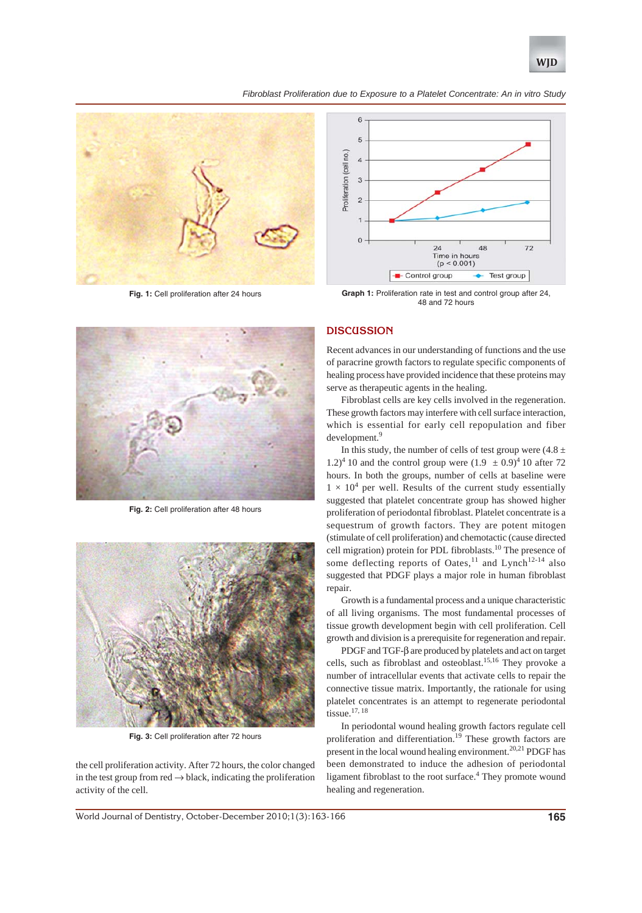

*Fibroblast Proliferation due to Exposure to a Platelet Concentrate: An in vitro Study*



**Fig. 1:** Cell proliferation after 24 hours



Graph 1: Proliferation rate in test and control group after 24, 48 and 72 hours

## **DISCUSSION**

Recent advances in our understanding of functions and the use of paracrine growth factors to regulate specific components of healing process have provided incidence that these proteins may serve as therapeutic agents in the healing.

Fibroblast cells are key cells involved in the regeneration. These growth factors may interfere with cell surface interaction, which is essential for early cell repopulation and fiber development.<sup>9</sup>

In this study, the number of cells of test group were  $(4.8 \pm$ 1.2)<sup>4</sup> 10 and the control group were  $(1.9 \pm 0.9)^4$  10 after 72 hours. In both the groups, number of cells at baseline were  $1 \times 10^4$  per well. Results of the current study essentially suggested that platelet concentrate group has showed higher proliferation of periodontal fibroblast. Platelet concentrate is a sequestrum of growth factors. They are potent mitogen (stimulate of cell proliferation) and chemotactic (cause directed cell migration) protein for PDL fibroblasts.<sup>10</sup> The presence of some deflecting reports of Oates,<sup>11</sup> and Lynch<sup>12-14</sup> also suggested that PDGF plays a major role in human fibroblast repair.

Growth is a fundamental process and a unique characteristic of all living organisms. The most fundamental processes of tissue growth development begin with cell proliferation. Cell growth and division is a prerequisite for regeneration and repair.

PDGF and TGF-β are produced by platelets and act on target cells, such as fibroblast and osteoblast.15,16 They provoke a number of intracellular events that activate cells to repair the connective tissue matrix. Importantly, the rationale for using platelet concentrates is an attempt to regenerate periodontal tissue.17, 18

In periodontal wound healing growth factors regulate cell proliferation and differentiation.<sup>19</sup> These growth factors are present in the local wound healing environment.<sup>20,21</sup> PDGF has been demonstrated to induce the adhesion of periodontal ligament fibroblast to the root surface.<sup>4</sup> They promote wound healing and regeneration.



**Fig. 2:** Cell proliferation after 48 hours



**Fig. 3:** Cell proliferation after 72 hours

the cell proliferation activity. After 72 hours, the color changed in the test group from  $red \rightarrow black$ , indicating the proliferation activity of the cell.

World Journal of Dentistry, October-December 2010;1(3):163-166 **165**